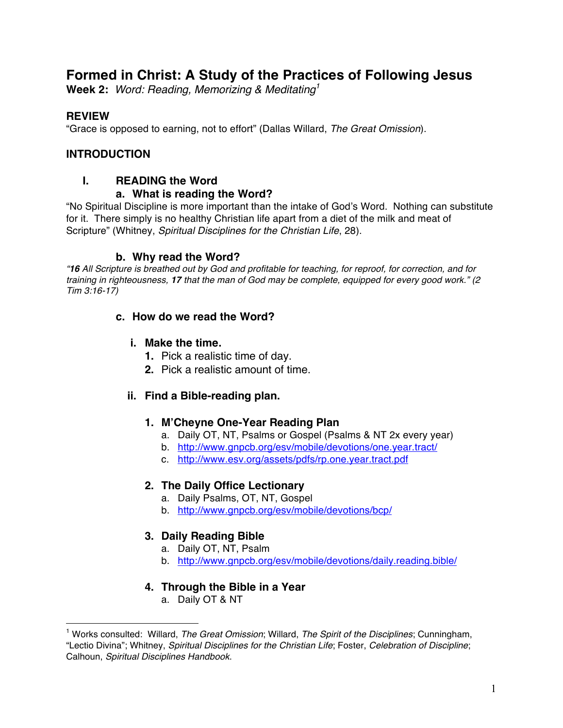# **Formed in Christ: A Study of the Practices of Following Jesus**

**Week 2:** *Word: Reading, Memorizing & Meditating<sup>1</sup>*

## **REVIEW**

 $\overline{a}$ 

"Grace is opposed to earning, not to effort" (Dallas Willard, *The Great Omission*).

## **INTRODUCTION**

## **I. READING the Word**

### **a. What is reading the Word?**

"No Spiritual Discipline is more important than the intake of God's Word. Nothing can substitute for it. There simply is no healthy Christian life apart from a diet of the milk and meat of Scripture" (Whitney, *Spiritual Disciplines for the Christian Life*, 28).

## **b. Why read the Word?**

*"16 All Scripture is breathed out by God and profitable for teaching, for reproof, for correction, and for training in righteousness, 17 that the man of God may be complete, equipped for every good work." (2 Tim 3:16-17)*

## **c. How do we read the Word?**

- **i. Make the time.**
	- **1.** Pick a realistic time of day.
	- **2.** Pick a realistic amount of time.

## **ii. Find a Bible-reading plan.**

### **1. M'Cheyne One-Year Reading Plan**

- a. Daily OT, NT, Psalms or Gospel (Psalms & NT 2x every year)
- b. http://www.gnpcb.org/esv/mobile/devotions/one.year.tract/
- c. http://www.esv.org/assets/pdfs/rp.one.year.tract.pdf

### **2. The Daily Office Lectionary**

- a. Daily Psalms, OT, NT, Gospel
- b. http://www.gnpcb.org/esv/mobile/devotions/bcp/

## **3. Daily Reading Bible**

- a. Daily OT, NT, Psalm
- b. http://www.gnpcb.org/esv/mobile/devotions/daily.reading.bible/

## **4. Through the Bible in a Year**

a. Daily OT & NT

<sup>1</sup> Works consulted: Willard, *The Great Omission*; Willard, *The Spirit of the Disciplines*; Cunningham, "Lectio Divina"; Whitney, *Spiritual Disciplines for the Christian Life*; Foster, *Celebration of Discipline*; Calhoun, *Spiritual Disciplines Handbook*.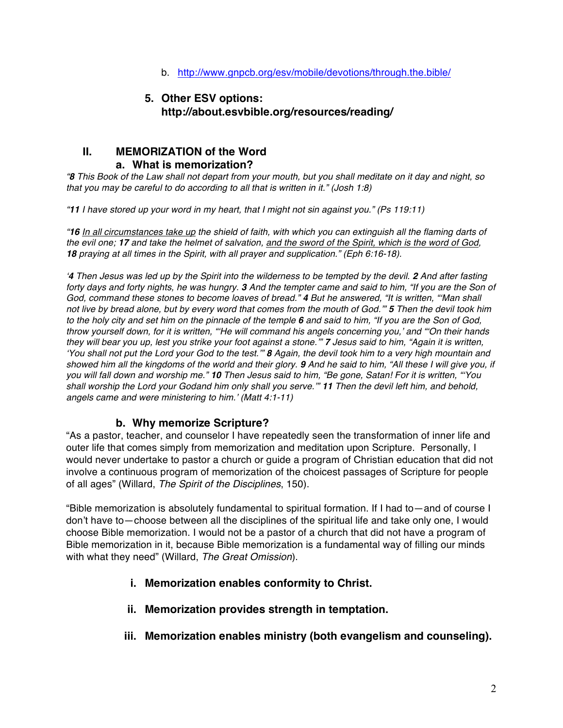b. http://www.gnpcb.org/esv/mobile/devotions/through.the.bible/

## **5. Other ESV options: http://about.esvbible.org/resources/reading/**

#### **II. MEMORIZATION of the Word a. What is memorization?**

*"8 This Book of the Law shall not depart from your mouth, but you shall meditate on it day and night, so that you may be careful to do according to all that is written in it." (Josh 1:8)*

*"11 I have stored up your word in my heart, that I might not sin against you." (Ps 119:11)*

*"16 In all circumstances take up the shield of faith, with which you can extinguish all the flaming darts of the evil one; 17 and take the helmet of salvation, and the sword of the Spirit, which is the word of God, 18 praying at all times in the Spirit, with all prayer and supplication." (Eph 6:16-18).*

<sup>*4*</sup> *Then Jesus was led up by the Spirit into the wilderness to be tempted by the devil. 2 <i>And after fasting forty days and forty nights, he was hungry. 3 And the tempter came and said to him, "If you are the Son of God, command these stones to become loaves of bread." 4 But he answered, "It is written, "'Man shall not live by bread alone, but by every word that comes from the mouth of God.'" 5 Then the devil took him to the holy city and set him on the pinnacle of the temple 6 and said to him, "If you are the Son of God, throw yourself down, for it is written, "'He will command his angels concerning you,' and "'On their hands they will bear you up, lest you strike your foot against a stone.'" 7 Jesus said to him, "Again it is written, 'You shall not put the Lord your God to the test.'" 8 Again, the devil took him to a very high mountain and showed him all the kingdoms of the world and their glory. 9 And he said to him, "All these I will give you, if you will fall down and worship me." 10 Then Jesus said to him, "Be gone, Satan! For it is written, "'You shall worship the Lord your Godand him only shall you serve.'" 11 Then the devil left him, and behold, angels came and were ministering to him.' (Matt 4:1-11)*

### **b. Why memorize Scripture?**

"As a pastor, teacher, and counselor I have repeatedly seen the transformation of inner life and outer life that comes simply from memorization and meditation upon Scripture. Personally, I would never undertake to pastor a church or guide a program of Christian education that did not involve a continuous program of memorization of the choicest passages of Scripture for people of all ages" (Willard, *The Spirit of the Disciplines*, 150).

"Bible memorization is absolutely fundamental to spiritual formation. If I had to—and of course I don't have to—choose between all the disciplines of the spiritual life and take only one, I would choose Bible memorization. I would not be a pastor of a church that did not have a program of Bible memorization in it, because Bible memorization is a fundamental way of filling our minds with what they need" (Willard, *The Great Omission*).

- **i. Memorization enables conformity to Christ.**
- **ii. Memorization provides strength in temptation.**
- **iii. Memorization enables ministry (both evangelism and counseling).**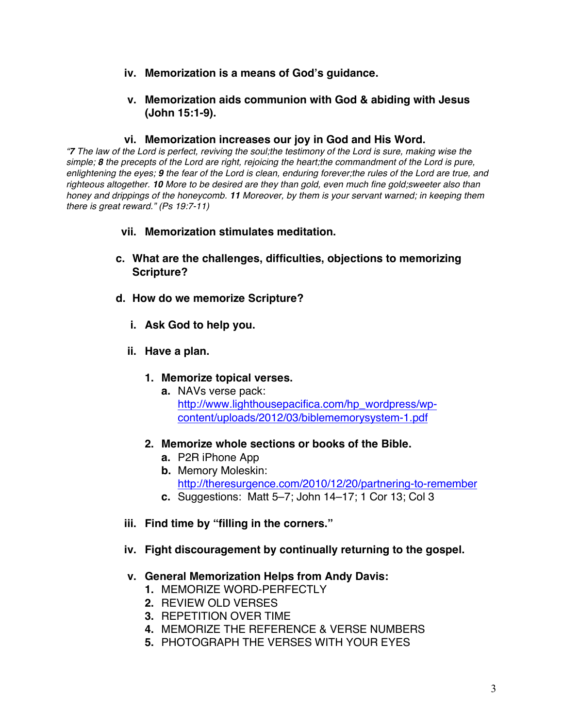- **iv. Memorization is a means of God's guidance.**
- **v. Memorization aids communion with God & abiding with Jesus (John 15:1-9).**

#### **vi. Memorization increases our joy in God and His Word.**

*"7 The law of the Lord is perfect, reviving the soul;the testimony of the Lord is sure, making wise the simple; 8 the precepts of the Lord are right, rejoicing the heart;the commandment of the Lord is pure, enlightening the eyes; 9 the fear of the Lord is clean, enduring forever;the rules of the Lord are true, and righteous altogether. 10 More to be desired are they than gold, even much fine gold;sweeter also than honey and drippings of the honeycomb. 11 Moreover, by them is your servant warned; in keeping them there is great reward." (Ps 19:7-11)*

### **vii. Memorization stimulates meditation.**

- **c. What are the challenges, difficulties, objections to memorizing Scripture?**
- **d. How do we memorize Scripture?**
	- **i. Ask God to help you.**
	- **ii. Have a plan.**
		- **1. Memorize topical verses.** 
			- **a.** NAVs verse pack: http://www.lighthousepacifica.com/hp\_wordpress/wpcontent/uploads/2012/03/biblememorysystem-1.pdf
		- **2. Memorize whole sections or books of the Bible.**
			- **a.** P2R iPhone App
			- **b.** Memory Moleskin: http://theresurgence.com/2010/12/20/partnering-to-remember
			- **c.** Suggestions: Matt 5–7; John 14–17; 1 Cor 13; Col 3
	- **iii. Find time by "filling in the corners."**
	- **iv. Fight discouragement by continually returning to the gospel.**

## **v. General Memorization Helps from Andy Davis:**

- **1.** MEMORIZE WORD-PERFECTLY
- **2.** REVIEW OLD VERSES
- **3.** REPETITION OVER TIME
- **4.** MEMORIZE THE REFERENCE & VERSE NUMBERS
- **5.** PHOTOGRAPH THE VERSES WITH YOUR EYES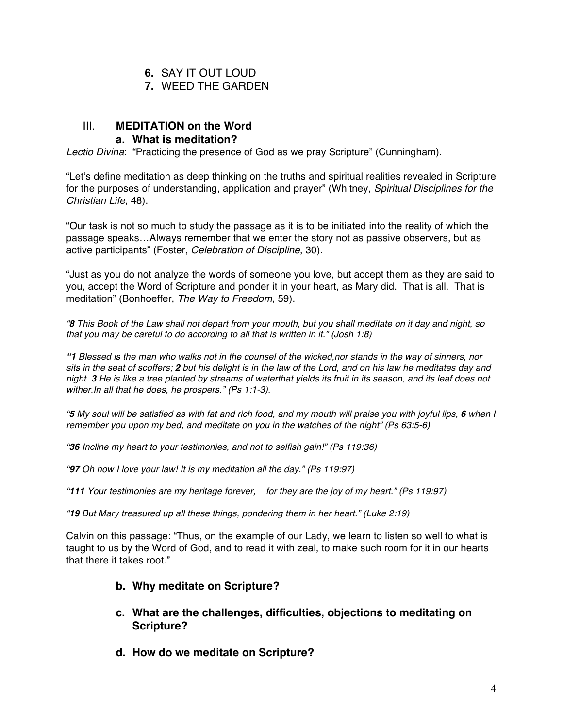- **6.** SAY IT OUT LOUD
- **7.** WEED THE GARDEN

## III. **MEDITATION on the Word**

#### **a. What is meditation?**

*Lectio Divina*: "Practicing the presence of God as we pray Scripture" (Cunningham).

"Let's define meditation as deep thinking on the truths and spiritual realities revealed in Scripture for the purposes of understanding, application and prayer" (Whitney, *Spiritual Disciplines for the Christian Life*, 48).

"Our task is not so much to study the passage as it is to be initiated into the reality of which the passage speaks…Always remember that we enter the story not as passive observers, but as active participants" (Foster, *Celebration of Discipline*, 30).

"Just as you do not analyze the words of someone you love, but accept them as they are said to you, accept the Word of Scripture and ponder it in your heart, as Mary did. That is all. That is meditation" (Bonhoeffer, *The Way to Freedom*, 59).

*"8 This Book of the Law shall not depart from your mouth, but you shall meditate on it day and night, so that you may be careful to do according to all that is written in it." (Josh 1:8)*

*"1 Blessed is the man who walks not in the counsel of the wicked,nor stands in the way of sinners, nor sits in the seat of scoffers; 2 but his delight is in the law of the Lord, and on his law he meditates day and night. 3 He is like a tree planted by streams of waterthat yields its fruit in its season, and its leaf does not wither.In all that he does, he prospers." (Ps 1:1-3).*

*"5 My soul will be satisfied as with fat and rich food, and my mouth will praise you with joyful lips, 6 when I remember you upon my bed, and meditate on you in the watches of the night" (Ps 63:5-6)*

*"36 Incline my heart to your testimonies, and not to selfish gain!" (Ps 119:36)*

*"97 Oh how I love your law! It is my meditation all the day." (Ps 119:97)*

*"111 Your testimonies are my heritage forever, for they are the joy of my heart." (Ps 119:97)*

*"19 But Mary treasured up all these things, pondering them in her heart." (Luke 2:19)*

Calvin on this passage: "Thus, on the example of our Lady, we learn to listen so well to what is taught to us by the Word of God, and to read it with zeal, to make such room for it in our hearts that there it takes root."

### **b. Why meditate on Scripture?**

- **c. What are the challenges, difficulties, objections to meditating on Scripture?**
- **d. How do we meditate on Scripture?**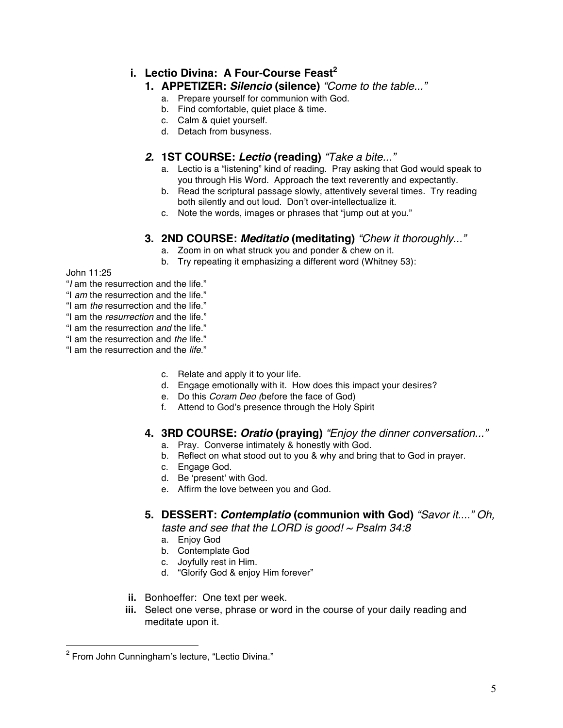## **i. Lectio Divina: A Four-Course Feast<sup>2</sup>**

#### **1. APPETIZER:** *Silencio* **(silence)** *"Come to the table..."*

- a. Prepare yourself for communion with God.
- b. Find comfortable, quiet place & time.
- c. Calm & quiet yourself.
- d. Detach from busyness.

## *2.* **1ST COURSE:** *Lectio* **(reading)** *"Take a bite..."*

- a. Lectio is a "listening" kind of reading. Pray asking that God would speak to you through His Word. Approach the text reverently and expectantly.
- b. Read the scriptural passage slowly, attentively several times. Try reading both silently and out loud. Don't over-intellectualize it.
- c. Note the words, images or phrases that "jump out at you."

### **3. 2ND COURSE:** *Meditatio* **(meditating)** *"Chew it thoroughly..."*

- a. Zoom in on what struck you and ponder & chew on it.
- b. Try repeating it emphasizing a different word (Whitney 53):

#### John 11:25

 $\overline{a}$ 

- "*I* am the resurrection and the life."
- "I *am* the resurrection and the life."
- "I am *the* resurrection and the life."
- "I am the *resurrection* and the life."
- "I am the resurrection *and* the life."
- "I am the resurrection and *the* life."
- "I am the resurrection and the *life*."
	- c. Relate and apply it to your life.
	- d. Engage emotionally with it. How does this impact your desires?
	- e. Do this *Coram Deo (*before the face of God)
	- f. Attend to God's presence through the Holy Spirit

### **4. 3RD COURSE:** *Oratio* **(praying)** *"Enjoy the dinner conversation..."*

- a. Pray. Converse intimately & honestly with God.
- b. Reflect on what stood out to you & why and bring that to God in prayer.
- c. Engage God.
- d. Be 'present' with God.
- e. Affirm the love between you and God.

## **5. DESSERT:** *Contemplatio* **(communion with God)** *"Savor it...." Oh,*

*taste and see that the LORD is good! ~ Psalm 34:8*

- a. Enjoy God
- b. Contemplate God
- c. Joyfully rest in Him.
- d. "Glorify God & enjoy Him forever"
- **ii.** Bonhoeffer: One text per week.
- **iii.** Select one verse, phrase or word in the course of your daily reading and meditate upon it.

 $2$  From John Cunningham's lecture, "Lectio Divina."